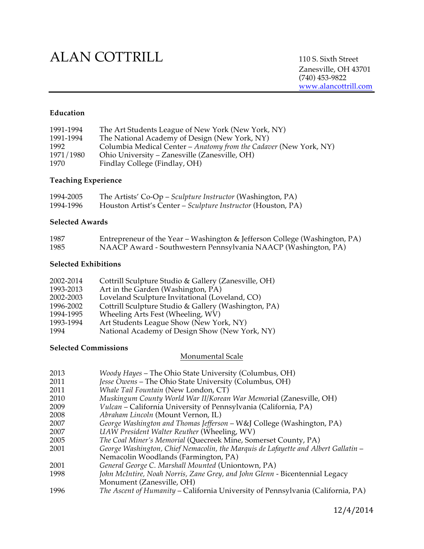# ALAN COTTRILL 110 S. Sixth Street

Zanesville, OH 43701 (740) 453-9822 www.alancottrill.com

### **Education**

| 1991-1994 | The Art Students League of New York (New York, NY)                |
|-----------|-------------------------------------------------------------------|
| 1991-1994 | The National Academy of Design (New York, NY)                     |
| 1992      | Columbia Medical Center - Anatomy from the Cadaver (New York, NY) |
| 1971/1980 | Ohio University – Zanesville (Zanesville, OH)                     |
| 1970      | Findlay College (Findlay, OH)                                     |

#### **Teaching Experience**

| 1994-2005 | The Artists' Co-Op – Sculpture Instructor (Washington, PA)   |
|-----------|--------------------------------------------------------------|
| 1994-1996 | Houston Artist's Center – Sculpture Instructor (Houston, PA) |

### **Selected Awards**

| 1987 | Entrepreneur of the Year – Washington & Jefferson College (Washington, PA) |
|------|----------------------------------------------------------------------------|
| 1985 | NAACP Award - Southwestern Pennsylvania NAACP (Washington, PA)             |

#### **Selected Exhibitions**

| 2002-2014 | Cottrill Sculpture Studio & Gallery (Zanesville, OH) |
|-----------|------------------------------------------------------|
| 1993-2013 | Art in the Garden (Washington, PA)                   |
| 2002-2003 | Loveland Sculpture Invitational (Loveland, CO)       |
| 1996-2002 | Cottrill Sculpture Studio & Gallery (Washington, PA) |
| 1994-1995 | Wheeling Arts Fest (Wheeling, WV)                    |
| 1993-1994 | Art Students League Show (New York, NY)              |
| 1994      | National Academy of Design Show (New York, NY)       |

## **Selected Commissions**

#### Monumental Scale

- 2013 *Woody Hayes* The Ohio State University (Columbus, OH)
- *Jesse Owens* The Ohio State University (Columbus, OH)
- 2011 *Whale Tail Fountain* (New London, CT)
- 2010 *Muskingum County World War II/Korean War Memo*rial (Zanesville, OH)
- 2009 *Vulcan* California University of Pennsylvania (California, PA)
- 2008 *Abraham Lincoln* (Mount Vernon, IL)
- 2007 *George Washington and Thomas Jefferson* W&J College (Washington, PA)
- 2007 *UAW President Walter Reuther* (Wheeling, WV)
- 2005 *The Coal Miner's Memorial* (Quecreek Mine, Somerset County, PA)
- 2001 *George Washington, Chief Nemacolin, the Marquis de Lafayette and Albert Gallatin* Nemacolin Woodlands (Farmington, PA)
- 2001 *General George C. Marshall Mounted* (Uniontown, PA)
- John McIntire, Noah Norris, Zane Grey, and John Glenn Bicentennial Legacy Monument (Zanesville, OH)
- 1996 *The Ascent of Humanity* California University of Pennsylvania (California, PA)